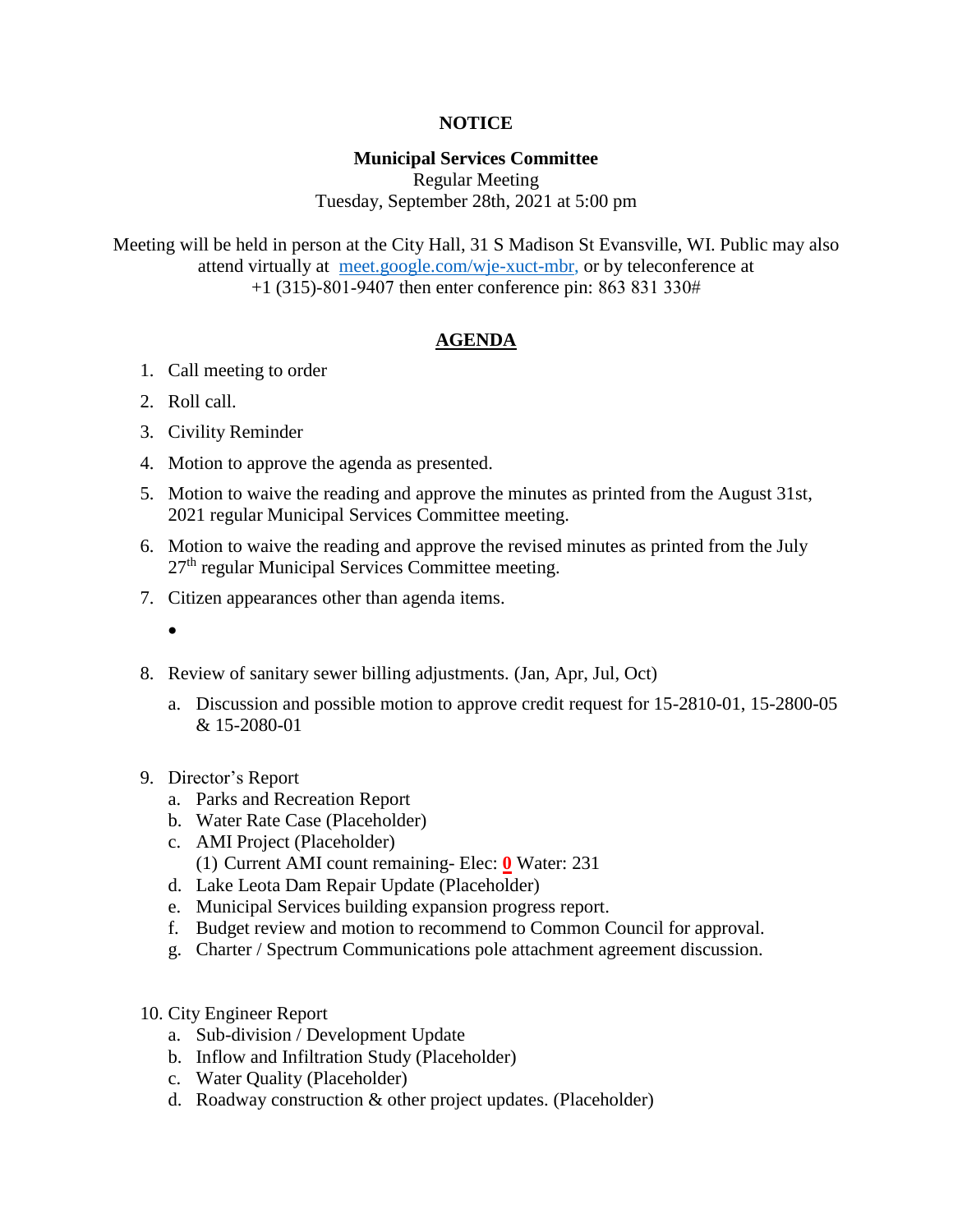## **NOTICE**

## **Municipal Services Committee**

Regular Meeting Tuesday, September 28th, 2021 at 5:00 pm

Meeting will be held in person at the City Hall, 31 S Madison St Evansville, WI. Public may also attend virtually at [meet.google.com/wje-xuct-mbr,](file:///C:/Users/haleyd/AppData/Local/Microsoft/Windows/INetCache/Content.Outlook/OTOR8OAM/meet.google.com/wje-xuct-mbr) or by teleconference at +1 (315)-801-9407 then enter conference pin: 863 831 330#

## **AGENDA**

- 1. Call meeting to order
- 2. Roll call.

 $\bullet$ 

- 3. Civility Reminder
- 4. Motion to approve the agenda as presented.
- 5. Motion to waive the reading and approve the minutes as printed from the August 31st, 2021 regular Municipal Services Committee meeting.
- 6. Motion to waive the reading and approve the revised minutes as printed from the July 27<sup>th</sup> regular Municipal Services Committee meeting.
- 7. Citizen appearances other than agenda items.
- 8. Review of sanitary sewer billing adjustments. (Jan, Apr, Jul, Oct)
	- a. Discussion and possible motion to approve credit request for 15-2810-01, 15-2800-05 & 15-2080-01
- 9. Director's Report
	- a. Parks and Recreation Report
	- b. Water Rate Case (Placeholder)
	- c. AMI Project (Placeholder) (1) Current AMI count remaining- Elec: **0** Water: 231
	- d. Lake Leota Dam Repair Update (Placeholder)
	- e. Municipal Services building expansion progress report.
	- f. Budget review and motion to recommend to Common Council for approval.
	- g. Charter / Spectrum Communications pole attachment agreement discussion.
- 10. City Engineer Report
	- a. Sub-division / Development Update
	- b. Inflow and Infiltration Study (Placeholder)
	- c. Water Quality (Placeholder)
	- d. Roadway construction & other project updates. (Placeholder)